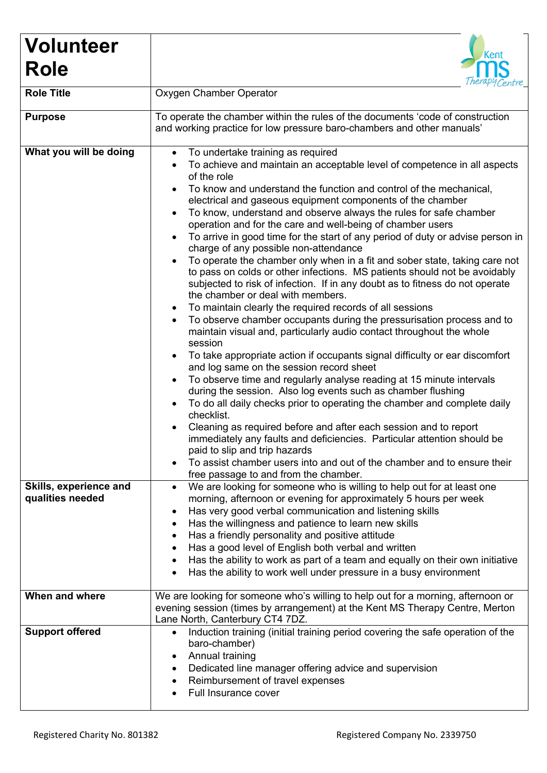| <b>Volunteer</b>       | <b>Kent</b>                                                                                                                                                                                                                                                                                                                                                                                                                                                                                                                                                                                                                                                                                                                                                                                                                                                                                                                                                                                                                                                                                                                                                                                                                                                                                                                                                                                                                                                                                                                                                                                                                                                                                                        |
|------------------------|--------------------------------------------------------------------------------------------------------------------------------------------------------------------------------------------------------------------------------------------------------------------------------------------------------------------------------------------------------------------------------------------------------------------------------------------------------------------------------------------------------------------------------------------------------------------------------------------------------------------------------------------------------------------------------------------------------------------------------------------------------------------------------------------------------------------------------------------------------------------------------------------------------------------------------------------------------------------------------------------------------------------------------------------------------------------------------------------------------------------------------------------------------------------------------------------------------------------------------------------------------------------------------------------------------------------------------------------------------------------------------------------------------------------------------------------------------------------------------------------------------------------------------------------------------------------------------------------------------------------------------------------------------------------------------------------------------------------|
| <b>Role</b>            |                                                                                                                                                                                                                                                                                                                                                                                                                                                                                                                                                                                                                                                                                                                                                                                                                                                                                                                                                                                                                                                                                                                                                                                                                                                                                                                                                                                                                                                                                                                                                                                                                                                                                                                    |
| <b>Role Title</b>      | Oxygen Chamber Operator                                                                                                                                                                                                                                                                                                                                                                                                                                                                                                                                                                                                                                                                                                                                                                                                                                                                                                                                                                                                                                                                                                                                                                                                                                                                                                                                                                                                                                                                                                                                                                                                                                                                                            |
| <b>Purpose</b>         | To operate the chamber within the rules of the documents 'code of construction<br>and working practice for low pressure baro-chambers and other manuals'                                                                                                                                                                                                                                                                                                                                                                                                                                                                                                                                                                                                                                                                                                                                                                                                                                                                                                                                                                                                                                                                                                                                                                                                                                                                                                                                                                                                                                                                                                                                                           |
| What you will be doing | To undertake training as required<br>$\bullet$<br>To achieve and maintain an acceptable level of competence in all aspects<br>of the role<br>To know and understand the function and control of the mechanical,<br>electrical and gaseous equipment components of the chamber<br>To know, understand and observe always the rules for safe chamber<br>$\bullet$<br>operation and for the care and well-being of chamber users<br>To arrive in good time for the start of any period of duty or advise person in<br>charge of any possible non-attendance<br>To operate the chamber only when in a fit and sober state, taking care not<br>to pass on colds or other infections. MS patients should not be avoidably<br>subjected to risk of infection. If in any doubt as to fitness do not operate<br>the chamber or deal with members.<br>To maintain clearly the required records of all sessions<br>$\bullet$<br>To observe chamber occupants during the pressurisation process and to<br>maintain visual and, particularly audio contact throughout the whole<br>session<br>To take appropriate action if occupants signal difficulty or ear discomfort<br>and log same on the session record sheet<br>To observe time and regularly analyse reading at 15 minute intervals<br>$\bullet$<br>during the session. Also log events such as chamber flushing<br>To do all daily checks prior to operating the chamber and complete daily<br>checklist.<br>Cleaning as required before and after each session and to report<br>immediately any faults and deficiencies. Particular attention should be<br>paid to slip and trip hazards<br>To assist chamber users into and out of the chamber and to ensure their |
| Skills, experience and | free passage to and from the chamber.<br>We are looking for someone who is willing to help out for at least one<br>$\bullet$                                                                                                                                                                                                                                                                                                                                                                                                                                                                                                                                                                                                                                                                                                                                                                                                                                                                                                                                                                                                                                                                                                                                                                                                                                                                                                                                                                                                                                                                                                                                                                                       |
| qualities needed       | morning, afternoon or evening for approximately 5 hours per week<br>Has very good verbal communication and listening skills<br>Has the willingness and patience to learn new skills<br>Has a friendly personality and positive attitude<br>Has a good level of English both verbal and written<br>Has the ability to work as part of a team and equally on their own initiative<br>Has the ability to work well under pressure in a busy environment                                                                                                                                                                                                                                                                                                                                                                                                                                                                                                                                                                                                                                                                                                                                                                                                                                                                                                                                                                                                                                                                                                                                                                                                                                                               |
| When and where         | We are looking for someone who's willing to help out for a morning, afternoon or<br>evening session (times by arrangement) at the Kent MS Therapy Centre, Merton<br>Lane North, Canterbury CT4 7DZ.                                                                                                                                                                                                                                                                                                                                                                                                                                                                                                                                                                                                                                                                                                                                                                                                                                                                                                                                                                                                                                                                                                                                                                                                                                                                                                                                                                                                                                                                                                                |
| <b>Support offered</b> | Induction training (initial training period covering the safe operation of the<br>$\bullet$<br>baro-chamber)<br>Annual training<br>$\bullet$<br>Dedicated line manager offering advice and supervision<br>$\bullet$<br>Reimbursement of travel expenses<br>Full Insurance cover                                                                                                                                                                                                                                                                                                                                                                                                                                                                                                                                                                                                                                                                                                                                                                                                                                                                                                                                                                                                                                                                                                                                                                                                                                                                                                                                                                                                                                    |